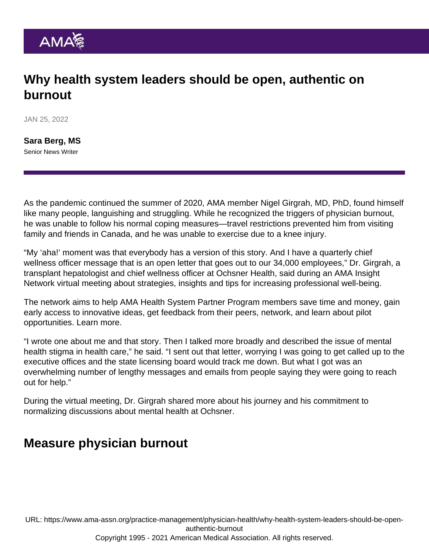## Why health system leaders should be open, authentic on burnout

JAN 25, 2022

[Sara Berg, MS](https://www.ama-assn.org/news-leadership-viewpoints/authors-news-leadership-viewpoints/sara-berg-ms) Senior News Writer

As the pandemic continued the summer of 2020, AMA member [Nigel Girgrah, MD, PhD](https://www.ama-assn.org/practice-management/physician-health/looking-upstream-answers-burnout), found himself like many people, languishing and struggling. While he recognized the triggers of physician burnout, he was unable to follow his normal coping measures—travel restrictions prevented him from visiting family and friends in Canada, and he was unable to exercise due to a knee injury.

"My 'aha!' moment was that everybody has a version of this story. And I have a quarterly chief wellness officer message that is an open letter that goes out to our 34,000 employees," [Dr. Girgrah](https://www.ama-assn.org/about/leadership/members-move-medicine-compassionate-agent-change), a transplant hepatologist and chief wellness officer at Ochsner Health, said during an AMA Insight Network virtual meeting about strategies, insights and tips for increasing professional well-being.

The network aims to help [AMA Health System Partner Program](https://www.ama-assn.org/amaone/ama-health-system-program) members save time and money, gain early access to innovative ideas, get feedback from their peers, network, and learn about pilot opportunities. [Learn more.](http://cloud.e.ama-assn.org/19-1541-GCEP-Group-Mem)

"I wrote one about me and that story. Then I talked more broadly and described the issue of mental health stigma in health care," he said. "I sent out that letter, worrying I was going to get called up to the executive offices and the state licensing board would track me down. But what I got was an overwhelming number of lengthy messages and emails from people saying they were going to reach out for help."

During the virtual meeting, [Dr. Girgrah](https://www.ama-assn.org/practice-management/sustainability/unvaccinated-flooded-burned-out-how-ochsner-health-perseveres) shared more about his journey and his commitment to normalizing discussions about mental health at Ochsner.

## Measure physician burnout

URL: [https://www.ama-assn.org/practice-management/physician-health/why-health-system-leaders-should-be-open](https://www.ama-assn.org/practice-management/physician-health/why-health-system-leaders-should-be-open-authentic-burnout)[authentic-burnout](https://www.ama-assn.org/practice-management/physician-health/why-health-system-leaders-should-be-open-authentic-burnout)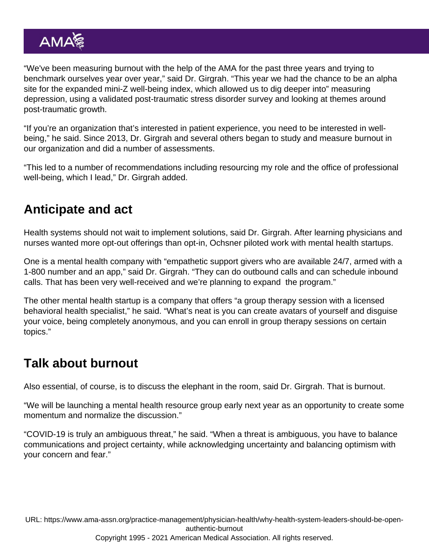"We've been measuring burnout with the help of the AMA for the past three years and trying to benchmark ourselves year over year," said Dr. Girgrah. "This year we had the chance to be an alpha site for the expanded mini-Z well-being index, which allowed us to dig deeper into" measuring depression, using a validated post-traumatic stress disorder survey and looking at themes around post-traumatic growth.

"If you're an organization that's interested in patient experience, you need to be interested in wellbeing," he said. Since 2013, Dr. Girgrah and several others began to study and measure burnout in our organization and did a number of assessments.

"This led to a number of recommendations including resourcing my role and the office of professional well-being, which I lead," Dr. Girgrah added.

## Anticipate and act

Health systems should not wait to implement solutions, said Dr. Girgrah. After learning physicians and nurses wanted more opt-out offerings than opt-in, Ochsner piloted work with mental health startups.

One is a mental health company with "empathetic support givers who are available 24/7, armed with a 1-800 number and an app," said Dr. Girgrah. "They can do outbound calls and can schedule inbound calls. That has been very well-received and we're planning to expand the program."

The other mental health startup is a company that offers "a group therapy session with a licensed behavioral health specialist," he said. "What's neat is you can create avatars of yourself and disguise your voice, being completely anonymous, and you can enroll in group therapy sessions on certain topics."

## Talk about burnout

Also essential, of course, is to discuss the elephant in the room, said Dr. Girgrah. That is burnout.

"We will be launching a mental health resource group early next year as an opportunity to create some momentum and normalize the discussion."

"COVID-19 is truly an ambiguous threat," he said. "When a threat is ambiguous, you have to balance communications and project certainty, while acknowledging uncertainty and balancing optimism with your concern and fear."

URL: [https://www.ama-assn.org/practice-management/physician-health/why-health-system-leaders-should-be-open](https://www.ama-assn.org/practice-management/physician-health/why-health-system-leaders-should-be-open-authentic-burnout)[authentic-burnout](https://www.ama-assn.org/practice-management/physician-health/why-health-system-leaders-should-be-open-authentic-burnout)